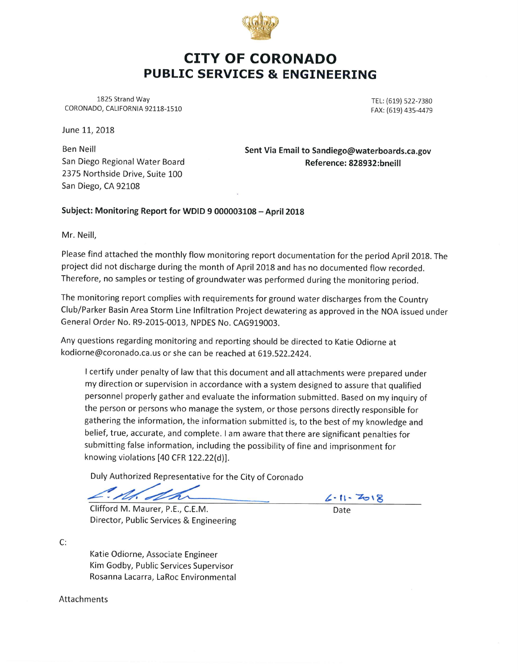

## CITY OF CORONADO PUBLIC SERVICES & ENGINEERING

1825 Strand Way CORONADO, CALIFORNIA 92118-1510

TEL: (619) 522-7380 FAX: (619) 435-4479

June 11, 2018

Ben Neill San Diego Regional Water Board 2375 Northside Drive, Suite 100 San Diego, CA 92108

Sent Via Email to Sandiego@waterboards.ca.gov Reference: 828932:bneill

Subject: Monitoring Report for WDID 9 000003108 - April 2018

Mr. Neill,

Please find attached the monthly flow monitoring report documentation for the period April 2018. The project did not discharge during the month of April 2018 and has no documented flow recorded. Therefore, no samples or testing of groundwater was performed during the monitoring period.

The monitoring report complies with requirements for ground water discharges from the Country Club/Parker Basin Area Storm Line Infiltration Project dewatering as approved in the NOA issued under General Order No. R9-2015-0013, NPDES No. CAG919003.

Any questions regarding monitoring and reporting should be directed to Katie Odiorne at kodiorne@coronado.ca.us or she can be reached at 619.522.2424.

I certify under penalty of law that this document and all attachments were prepared under my direction or supervision in accordance with a system designed to assure that qualified personnel properly gather and evaluate the information submitted. Based on my inquiry of the person or persons who manage the system, or those persons directly responsible for gathering the information, the information submitted is, to the best of my knowledge and belief, true, accurate, and complete. I am aware that there are significant penalties for submitting false information, including the possibility of fine and imprisonment for knowing violations [40 CFR 122.22(d)].

Duly Authorized Representative for the City of Coronado

M. Mh

Date

Clifford M. Maurer, P.E., C.E.M. Director, Public Services & Engineering

c:

Katie Odiorne, Associate Engineer Kim Godby, Public Services Supervisor Rosanna Lacarra, LaRoc Environmental

Attachments